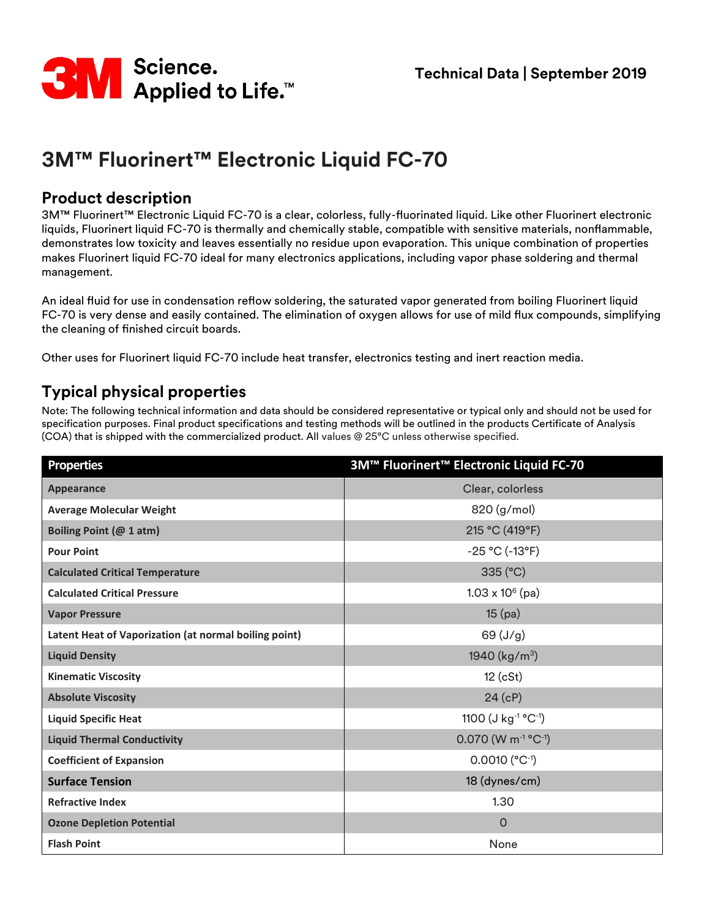

# **3M™ Fluorinert™ Electronic Liquid FC-70**

### **Product description**

3M™ Fluorinert™ Electronic Liquid FC-70 is a clear, colorless, fully-fluorinated liquid. Like other Fluorinert electronic liquids, Fluorinert liquid FC-70 is thermally and chemically stable, compatible with sensitive materials, nonflammable, demonstrates low toxicity and leaves essentially no residue upon evaporation. This unique combination of properties makes Fluorinert liquid FC-70 ideal for many electronics applications, including vapor phase soldering and thermal management.

An ideal fluid for use in condensation reflow soldering, the saturated vapor generated from boiling Fluorinert liquid FC-70 is very dense and easily contained. The elimination of oxygen allows for use of mild flux compounds, simplifying the cleaning of finished circuit boards.

Other uses for Fluorinert liquid FC-70 include heat transfer, electronics testing and inert reaction media.

## **Typical physical properties**

Note: The following technical information and data should be considered representative or typical only and should not be used for specification purposes. Final product specifications and testing methods will be outlined in the products Certificate of Analysis (COA) that is shipped with the commercialized product. All values @ 25°C unless otherwise specified.

| <b>Properties</b>                                     | 3M™ Fluorinert™ Electronic Liquid FC-70       |
|-------------------------------------------------------|-----------------------------------------------|
| Appearance                                            | Clear, colorless                              |
| <b>Average Molecular Weight</b>                       | 820 (g/mol)                                   |
| Boiling Point (@ 1 atm)                               | 215 °C (419°F)                                |
| <b>Pour Point</b>                                     | $-25 °C (-13 °F)$                             |
| <b>Calculated Critical Temperature</b>                | 335 (°C)                                      |
| <b>Calculated Critical Pressure</b>                   | $1.03 \times 10^6$ (pa)                       |
| <b>Vapor Pressure</b>                                 | $15$ (pa)                                     |
| Latent Heat of Vaporization (at normal boiling point) | 69 (J/g)                                      |
| <b>Liquid Density</b>                                 | 1940 $(kg/m^3)$                               |
| <b>Kinematic Viscosity</b>                            | $12$ (cSt)                                    |
| <b>Absolute Viscosity</b>                             | 24(cP)                                        |
| <b>Liquid Specific Heat</b>                           | 1100 (J kg <sup>-1</sup> °C <sup>-1</sup> )   |
| <b>Liquid Thermal Conductivity</b>                    | $0.070$ (W m <sup>-1</sup> °C <sup>-1</sup> ) |
| <b>Coefficient of Expansion</b>                       | $0.0010$ (°C <sup>-1</sup> )                  |
| <b>Surface Tension</b>                                | 18 (dynes/cm)                                 |
| <b>Refractive Index</b>                               | 1.30                                          |
| <b>Ozone Depletion Potential</b>                      | $\Omega$                                      |
| <b>Flash Point</b>                                    | None                                          |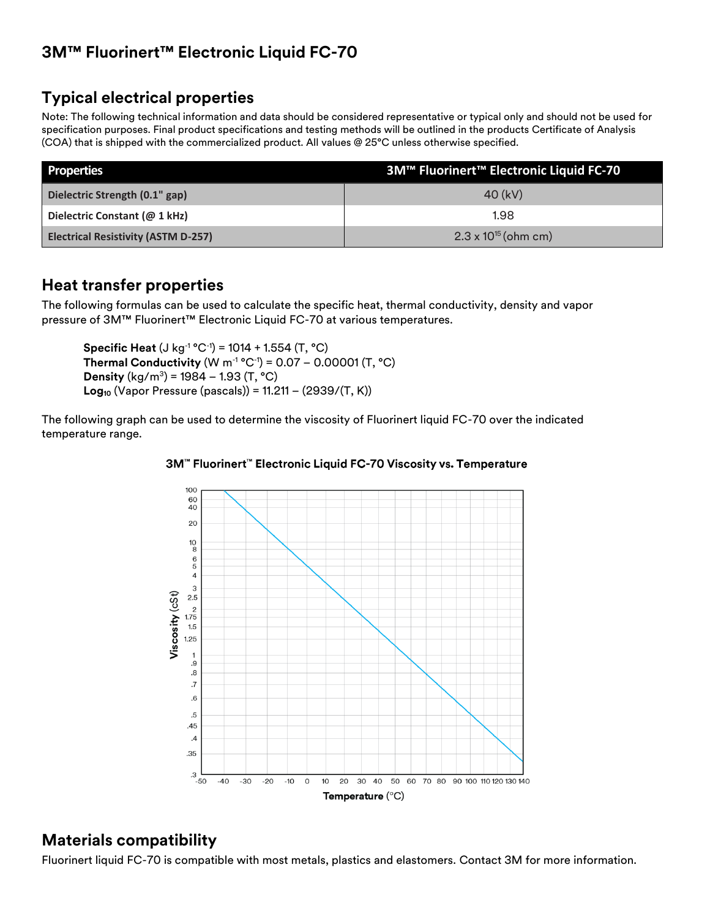## **3M™ Fluorinert™ Electronic Liquid FC-70**

## **Typical electrical properties**

Note: The following technical information and data should be considered representative or typical only and should not be used for specification purposes. Final product specifications and testing methods will be outlined in the products Certificate of Analysis (COA) that is shipped with the commercialized product. All values @ 25°C unless otherwise specified.

| <b>Properties</b>                          | 3M™ Fluorinert™ Electronic Liquid FC-70 |
|--------------------------------------------|-----------------------------------------|
| Dielectric Strength (0.1" gap)             | 40 (kV)                                 |
| Dielectric Constant (@ 1 kHz)              | 1.98                                    |
| <b>Electrical Resistivity (ASTM D-257)</b> | $2.3 \times 10^{15}$ (ohm cm)           |

### **Heat transfer properties**

The following formulas can be used to calculate the specific heat, thermal conductivity, density and vapor pressure of 3M™ Fluorinert™ Electronic Liquid FC-70 at various temperatures.

**Specific Heat** (J kg-1 °C-1 ) = 1014 + 1.554 (T, °C) **Thermal Conductivity** (W m-1 °C-1 ) = 0.07 – 0.00001 (T, °C) **Density** (kg/m<sup>3</sup> ) = 1984 – 1.93 (T, °C) **Log<sup>10</sup>** (Vapor Pressure (pascals)) = 11.211 – (2939/(T, K))

The following graph can be used to determine the viscosity of Fluorinert liquid FC-70 over the indicated temperature range.

#### 3M™ Fluorinert™ Electronic Liquid FC-70 Viscosity vs. Temperature



### **Materials compatibility**

Fluorinert liquid FC-70 is compatible with most metals, plastics and elastomers. Contact 3M for more information.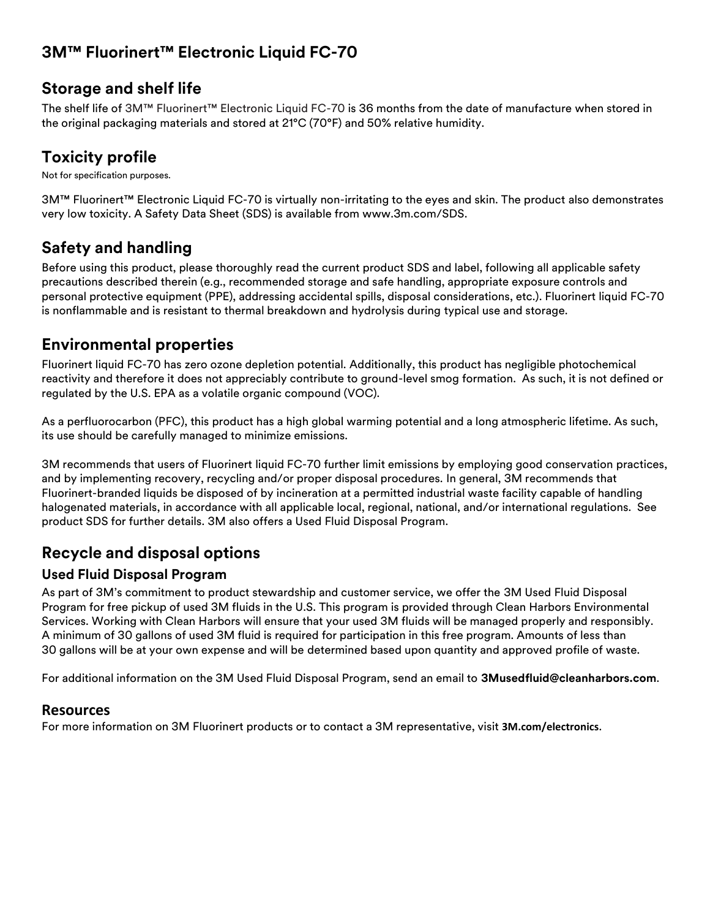## **3M™ Fluorinert™ Electronic Liquid FC-70**

### **Storage and shelf life**

The shelf life of 3M™ Fluorinert™ Electronic Liquid FC-70 is 36 months from the date of manufacture when stored in the original packaging materials and stored at 21°C (70°F) and 50% relative humidity.

## **Toxicity profile**

Not for specification purposes.

3M™ Fluorinert™ Electronic Liquid FC-70 is virtually non-irritating to the eyes and skin. The product also demonstrates very low toxicity. A Safety Data Sheet (SDS) is available from www.3m.com/SDS.

## **Safety and handling**

Before using this product, please thoroughly read the current product SDS and label, following all applicable safety precautions described therein (e.g., recommended storage and safe handling, appropriate exposure controls and personal protective equipment (PPE), addressing accidental spills, disposal considerations, etc.). Fluorinert liquid FC-70 is nonflammable and is resistant to thermal breakdown and hydrolysis during typical use and storage.

## **Environmental properties**

Fluorinert liquid FC-70 has zero ozone depletion potential. Additionally, this product has negligible photochemical reactivity and therefore it does not appreciably contribute to ground-level smog formation. As such, it is not defined or regulated by the U.S. EPA as a volatile organic compound (VOC).

As a perfluorocarbon (PFC), this product has a high global warming potential and a long atmospheric lifetime. As such, its use should be carefully managed to minimize emissions.

3M recommends that users of Fluorinert liquid FC-70 further limit emissions by employing good conservation practices, and by implementing recovery, recycling and/or proper disposal procedures. In general, 3M recommends that Fluorinert-branded liquids be disposed of by incineration at a permitted industrial waste facility capable of handling halogenated materials, in accordance with all applicable local, regional, national, and/or international regulations. See product SDS for further details. 3M also offers a Used Fluid Disposal Program.

## **Recycle and disposal options**

### **Used Fluid Disposal Program**

As part of 3M's commitment to product stewardship and customer service, we offer the 3M Used Fluid Disposal Program for free pickup of used 3M fluids in the U.S. This program is provided through Clean Harbors Environmental Services. Working with Clean Harbors will ensure that your used 3M fluids will be managed properly and responsibly. A minimum of 30 gallons of used 3M fluid is required for participation in this free program. Amounts of less than 30 gallons will be at your own expense and will be determined based upon quantity and approved profile of waste.

For additional information on the 3M Used Fluid Disposal Program, send an email to **[3Musedfluid@cleanharbors.com](mailto:3Musedfluid@cleanharbors.com)**.

### **Resources**

For more information on 3M Fluorinert products or to contact a 3M representative, visit **[3M.com/electronics](http://www.3m.com/electronics)**.